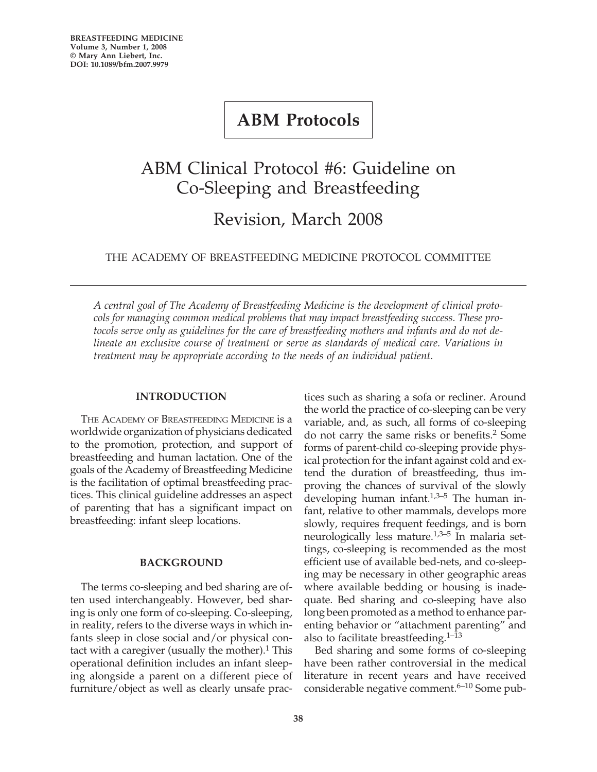## **ABM Protocols**

# ABM Clinical Protocol #6: Guideline on Co-Sleeping and Breastfeeding

Revision, March 2008

THE ACADEMY OF BREASTFEEDING MEDICINE PROTOCOL COMMITTEE

*A central goal of The Academy of Breastfeeding Medicine is the development of clinical protocols for managing common medical problems that may impact breastfeeding success. These protocols serve only as guidelines for the care of breastfeeding mothers and infants and do not delineate an exclusive course of treatment or serve as standards of medical care. Variations in treatment may be appropriate according to the needs of an individual patient.*

## **INTRODUCTION**

THE ACADEMY OF BREASTFEEDING MEDICINE is a worldwide organization of physicians dedicated to the promotion, protection, and support of breastfeeding and human lactation. One of the goals of the Academy of Breastfeeding Medicine is the facilitation of optimal breastfeeding practices. This clinical guideline addresses an aspect of parenting that has a significant impact on breastfeeding: infant sleep locations.

## **BACKGROUND**

The terms co-sleeping and bed sharing are often used interchangeably. However, bed sharing is only one form of co-sleeping. Co-sleeping, in reality, refers to the diverse ways in which infants sleep in close social and/or physical contact with a caregiver (usually the mother). $<sup>1</sup>$  This</sup> operational definition includes an infant sleeping alongside a parent on a different piece of furniture/object as well as clearly unsafe prac-

tices such as sharing a sofa or recliner. Around the world the practice of co-sleeping can be very variable, and, as such, all forms of co-sleeping do not carry the same risks or benefits.2 Some forms of parent-child co-sleeping provide physical protection for the infant against cold and extend the duration of breastfeeding, thus improving the chances of survival of the slowly developing human infant. $1,3-5$  The human infant, relative to other mammals, develops more slowly, requires frequent feedings, and is born neurologically less mature.<sup>1,3–5</sup> In malaria settings, co-sleeping is recommended as the most efficient use of available bed-nets, and co-sleeping may be necessary in other geographic areas where available bedding or housing is inadequate. Bed sharing and co-sleeping have also long been promoted as a method to enhance parenting behavior or "attachment parenting" and also to facilitate breastfeeding. $1-\overline{1}3$ 

Bed sharing and some forms of co-sleeping have been rather controversial in the medical literature in recent years and have received considerable negative comment.<sup>6–10</sup> Some pub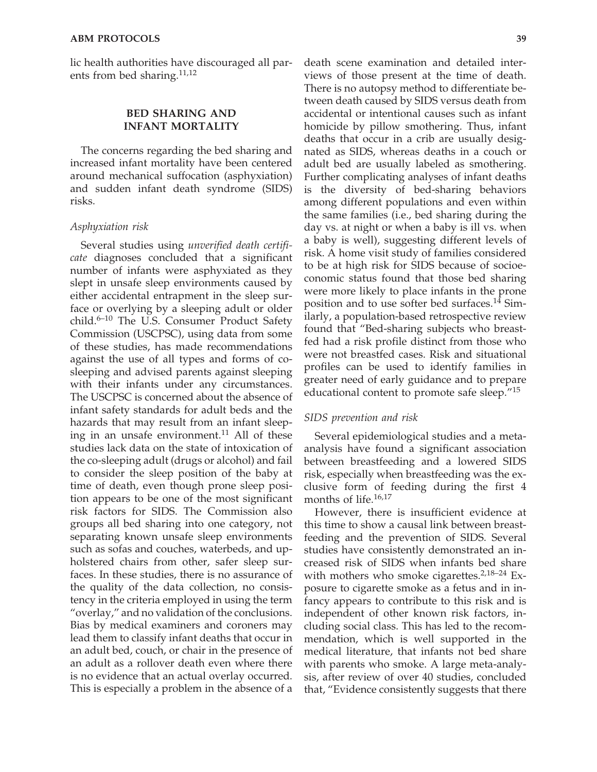lic health authorities have discouraged all parents from bed sharing.<sup>11,12</sup>

## **BED SHARING AND INFANT MORTALITY**

The concerns regarding the bed sharing and increased infant mortality have been centered around mechanical suffocation (asphyxiation) and sudden infant death syndrome (SIDS) risks.

#### *Asphyxiation risk*

Several studies using *unverified death certificate* diagnoses concluded that a significant number of infants were asphyxiated as they slept in unsafe sleep environments caused by either accidental entrapment in the sleep surface or overlying by a sleeping adult or older child.<sup>6–10</sup> The U.S. Consumer Product Safety Commission (USCPSC), using data from some of these studies, has made recommendations against the use of all types and forms of cosleeping and advised parents against sleeping with their infants under any circumstances. The USCPSC is concerned about the absence of infant safety standards for adult beds and the hazards that may result from an infant sleeping in an unsafe environment. $11$  All of these studies lack data on the state of intoxication of the co-sleeping adult (drugs or alcohol) and fail to consider the sleep position of the baby at time of death, even though prone sleep position appears to be one of the most significant risk factors for SIDS. The Commission also groups all bed sharing into one category, not separating known unsafe sleep environments such as sofas and couches, waterbeds, and upholstered chairs from other, safer sleep surfaces. In these studies, there is no assurance of the quality of the data collection, no consistency in the criteria employed in using the term "overlay," and no validation of the conclusions. Bias by medical examiners and coroners may lead them to classify infant deaths that occur in an adult bed, couch, or chair in the presence of an adult as a rollover death even where there is no evidence that an actual overlay occurred. This is especially a problem in the absence of a

death scene examination and detailed interviews of those present at the time of death. There is no autopsy method to differentiate between death caused by SIDS versus death from accidental or intentional causes such as infant homicide by pillow smothering. Thus, infant deaths that occur in a crib are usually designated as SIDS, whereas deaths in a couch or adult bed are usually labeled as smothering. Further complicating analyses of infant deaths is the diversity of bed-sharing behaviors among different populations and even within the same families (i.e., bed sharing during the day vs. at night or when a baby is ill vs. when a baby is well), suggesting different levels of risk. A home visit study of families considered to be at high risk for SIDS because of socioeconomic status found that those bed sharing were more likely to place infants in the prone position and to use softer bed surfaces.14 Similarly, a population-based retrospective review found that "Bed-sharing subjects who breastfed had a risk profile distinct from those who were not breastfed cases. Risk and situational profiles can be used to identify families in greater need of early guidance and to prepare educational content to promote safe sleep."<sup>15</sup>

#### *SIDS prevention and risk*

Several epidemiological studies and a metaanalysis have found a significant association between breastfeeding and a lowered SIDS risk, especially when breastfeeding was the exclusive form of feeding during the first 4 months of life.<sup>16,17</sup>

However, there is insufficient evidence at this time to show a causal link between breastfeeding and the prevention of SIDS. Several studies have consistently demonstrated an increased risk of SIDS when infants bed share with mothers who smoke cigarettes. $2.18-24$  Exposure to cigarette smoke as a fetus and in infancy appears to contribute to this risk and is independent of other known risk factors, including social class. This has led to the recommendation, which is well supported in the medical literature, that infants not bed share with parents who smoke. A large meta-analysis, after review of over 40 studies, concluded that, "Evidence consistently suggests that there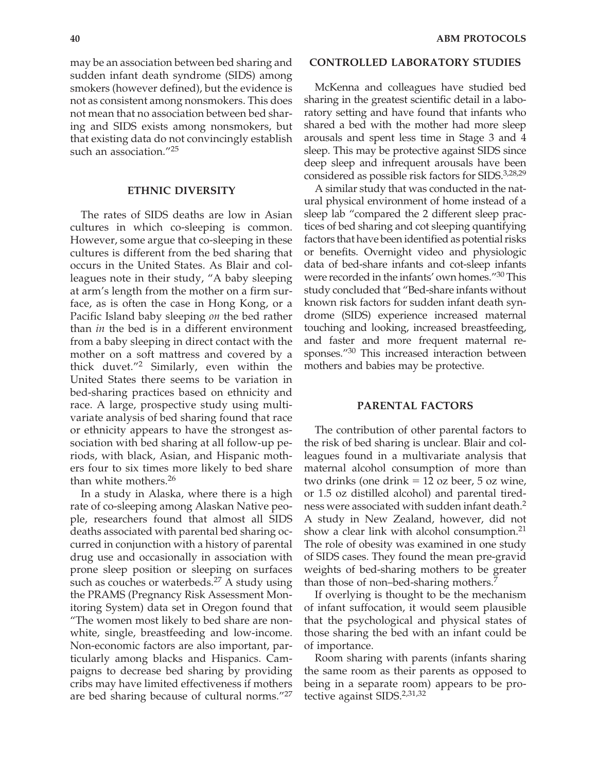may be an association between bed sharing and sudden infant death syndrome (SIDS) among smokers (however defined), but the evidence is not as consistent among nonsmokers. This does not mean that no association between bed sharing and SIDS exists among nonsmokers, but that existing data do not convincingly establish such an association."25

#### **ETHNIC DIVERSITY**

The rates of SIDS deaths are low in Asian cultures in which co-sleeping is common. However, some argue that co-sleeping in these cultures is different from the bed sharing that occurs in the United States. As Blair and colleagues note in their study, "A baby sleeping at arm's length from the mother on a firm surface, as is often the case in Hong Kong, or a Pacific Island baby sleeping *on* the bed rather than *in* the bed is in a different environment from a baby sleeping in direct contact with the mother on a soft mattress and covered by a thick duvet."<sup>2</sup> Similarly, even within the United States there seems to be variation in bed-sharing practices based on ethnicity and race. A large, prospective study using multivariate analysis of bed sharing found that race or ethnicity appears to have the strongest association with bed sharing at all follow-up periods, with black, Asian, and Hispanic mothers four to six times more likely to bed share than white mothers.<sup>26</sup>

In a study in Alaska, where there is a high rate of co-sleeping among Alaskan Native people, researchers found that almost all SIDS deaths associated with parental bed sharing occurred in conjunction with a history of parental drug use and occasionally in association with prone sleep position or sleeping on surfaces such as couches or waterbeds. $27$  A study using the PRAMS (Pregnancy Risk Assessment Monitoring System) data set in Oregon found that "The women most likely to bed share are nonwhite, single, breastfeeding and low-income. Non-economic factors are also important, particularly among blacks and Hispanics. Campaigns to decrease bed sharing by providing cribs may have limited effectiveness if mothers are bed sharing because of cultural norms."27

#### **40 ABM PROTOCOLS**

#### **CONTROLLED LABORATORY STUDIES**

McKenna and colleagues have studied bed sharing in the greatest scientific detail in a laboratory setting and have found that infants who shared a bed with the mother had more sleep arousals and spent less time in Stage 3 and 4 sleep. This may be protective against SIDS since deep sleep and infrequent arousals have been considered as possible risk factors for SIDS.3,28,29

A similar study that was conducted in the natural physical environment of home instead of a sleep lab "compared the 2 different sleep practices of bed sharing and cot sleeping quantifying factors that have been identified as potential risks or benefits. Overnight video and physiologic data of bed-share infants and cot-sleep infants were recorded in the infants' own homes."<sup>30</sup> This study concluded that "Bed-share infants without known risk factors for sudden infant death syndrome (SIDS) experience increased maternal touching and looking, increased breastfeeding, and faster and more frequent maternal responses."30 This increased interaction between mothers and babies may be protective.

#### **PARENTAL FACTORS**

The contribution of other parental factors to the risk of bed sharing is unclear. Blair and colleagues found in a multivariate analysis that maternal alcohol consumption of more than two drinks (one drink  $= 12$  oz beer, 5 oz wine, or 1.5 oz distilled alcohol) and parental tiredness were associated with sudden infant death.<sup>2</sup> A study in New Zealand, however, did not show a clear link with alcohol consumption.<sup>21</sup> The role of obesity was examined in one study of SIDS cases. They found the mean pre-gravid weights of bed-sharing mothers to be greater than those of non–bed-sharing mothers.<sup>7</sup>

If overlying is thought to be the mechanism of infant suffocation, it would seem plausible that the psychological and physical states of those sharing the bed with an infant could be of importance.

Room sharing with parents (infants sharing the same room as their parents as opposed to being in a separate room) appears to be protective against SIDS.<sup>2,31,32</sup>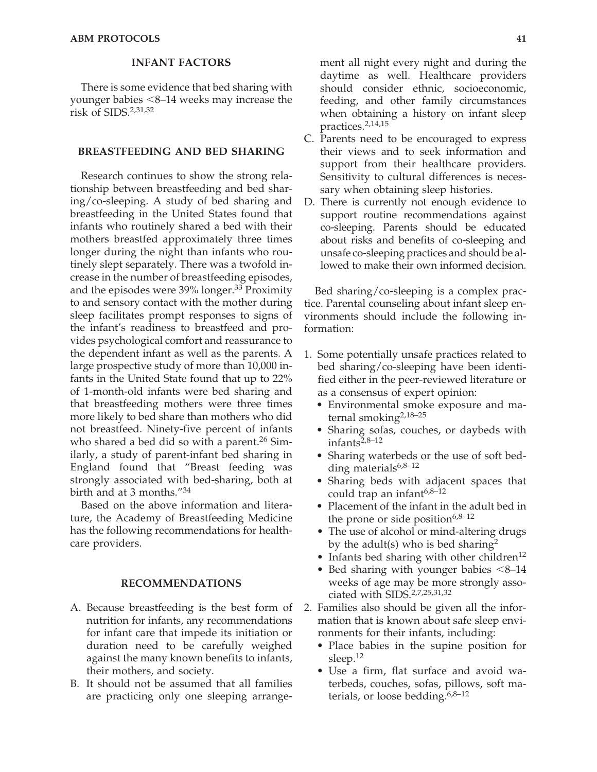## **INFANT FACTORS**

There is some evidence that bed sharing with younger babies  $< 8-14$  weeks may increase the risk of SIDS.2,31,32

#### **BREASTFEEDING AND BED SHARING**

Research continues to show the strong relationship between breastfeeding and bed sharing/co-sleeping. A study of bed sharing and breastfeeding in the United States found that infants who routinely shared a bed with their mothers breastfed approximately three times longer during the night than infants who routinely slept separately. There was a twofold increase in the number of breastfeeding episodes, and the episodes were 39% longer.<sup>33</sup> Proximity to and sensory contact with the mother during sleep facilitates prompt responses to signs of the infant's readiness to breastfeed and provides psychological comfort and reassurance to the dependent infant as well as the parents. A large prospective study of more than 10,000 infants in the United State found that up to 22% of 1-month-old infants were bed sharing and that breastfeeding mothers were three times more likely to bed share than mothers who did not breastfeed. Ninety-five percent of infants who shared a bed did so with a parent.<sup>26</sup> Similarly, a study of parent-infant bed sharing in England found that "Breast feeding was strongly associated with bed-sharing, both at birth and at 3 months."<sup>34</sup>

Based on the above information and literature, the Academy of Breastfeeding Medicine has the following recommendations for healthcare providers.

#### **RECOMMENDATIONS**

- A. Because breastfeeding is the best form of nutrition for infants, any recommendations for infant care that impede its initiation or duration need to be carefully weighed against the many known benefits to infants, their mothers, and society.
- B. It should not be assumed that all families are practicing only one sleeping arrange-

ment all night every night and during the daytime as well. Healthcare providers should consider ethnic, socioeconomic, feeding, and other family circumstances when obtaining a history on infant sleep practices.2,14,15

- C. Parents need to be encouraged to express their views and to seek information and support from their healthcare providers. Sensitivity to cultural differences is necessary when obtaining sleep histories.
- D. There is currently not enough evidence to support routine recommendations against co-sleeping. Parents should be educated about risks and benefits of co-sleeping and unsafe co-sleeping practices and should be allowed to make their own informed decision.

Bed sharing/co-sleeping is a complex practice. Parental counseling about infant sleep environments should include the following information:

- 1. Some potentially unsafe practices related to bed sharing/co-sleeping have been identified either in the peer-reviewed literature or as a consensus of expert opinion:
	- Environmental smoke exposure and maternal smoking2,18–25
	- Sharing sofas, couches, or daybeds with infants2,8–12
	- Sharing waterbeds or the use of soft bedding materials $6,8-12$
	- Sharing beds with adjacent spaces that could trap an infant<sup>6,8–12</sup>
	- Placement of the infant in the adult bed in the prone or side position $6,8-12$
	- The use of alcohol or mind-altering drugs by the adult(s) who is bed sharing<sup>2</sup>
	- Infants bed sharing with other children<sup>12</sup>
	- Bed sharing with younger babies  $\leq 8-14$ weeks of age may be more strongly associated with SIDS.2,7,25,31,32
- 2. Families also should be given all the information that is known about safe sleep environments for their infants, including:
	- Place babies in the supine position for sleep.<sup>12</sup>
	- Use a firm, flat surface and avoid waterbeds, couches, sofas, pillows, soft materials, or loose bedding.<sup>6,8-12</sup>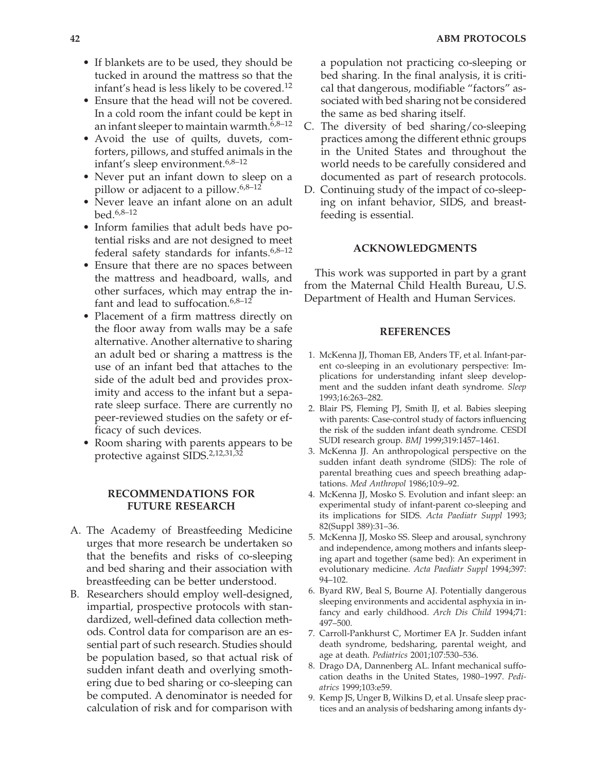- If blankets are to be used, they should be tucked in around the mattress so that the infant's head is less likely to be covered.12
- Ensure that the head will not be covered. In a cold room the infant could be kept in an infant sleeper to maintain warmth. $6,8-12$
- Avoid the use of quilts, duvets, comforters, pillows, and stuffed animals in the infant's sleep environment.6,8–12
- Never put an infant down to sleep on a pillow or adjacent to a pillow.<sup>6,8–12</sup>
- Never leave an infant alone on an adult bed.6,8–12
- Inform families that adult beds have potential risks and are not designed to meet federal safety standards for infants. $6,8-12$
- Ensure that there are no spaces between the mattress and headboard, walls, and other surfaces, which may entrap the infant and lead to suffocation. $6,8-12$
- Placement of a firm mattress directly on the floor away from walls may be a safe alternative. Another alternative to sharing an adult bed or sharing a mattress is the use of an infant bed that attaches to the side of the adult bed and provides proximity and access to the infant but a separate sleep surface. There are currently no peer-reviewed studies on the safety or efficacy of such devices.
- Room sharing with parents appears to be protective against SIDS.2,12,31,32

## **RECOMMENDATIONS FOR FUTURE RESEARCH**

- A. The Academy of Breastfeeding Medicine urges that more research be undertaken so that the benefits and risks of co-sleeping and bed sharing and their association with breastfeeding can be better understood.
- B. Researchers should employ well-designed, impartial, prospective protocols with standardized, well-defined data collection methods. Control data for comparison are an essential part of such research. Studies should be population based, so that actual risk of sudden infant death and overlying smothering due to bed sharing or co-sleeping can be computed. A denominator is needed for calculation of risk and for comparison with

a population not practicing co-sleeping or bed sharing. In the final analysis, it is critical that dangerous, modifiable "factors" associated with bed sharing not be considered the same as bed sharing itself.

- C. The diversity of bed sharing/co-sleeping practices among the different ethnic groups in the United States and throughout the world needs to be carefully considered and documented as part of research protocols.
- D. Continuing study of the impact of co-sleeping on infant behavior, SIDS, and breastfeeding is essential.

## **ACKNOWLEDGMENTS**

This work was supported in part by a grant from the Maternal Child Health Bureau, U.S. Department of Health and Human Services.

### **REFERENCES**

- 1. McKenna JJ, Thoman EB, Anders TF, et al. Infant-parent co-sleeping in an evolutionary perspective: Implications for understanding infant sleep development and the sudden infant death syndrome. *Sleep* 1993;16:263–282.
- 2. Blair PS, Fleming PJ, Smith IJ, et al. Babies sleeping with parents: Case-control study of factors influencing the risk of the sudden infant death syndrome. CESDI SUDI research group. *BMJ* 1999;319:1457–1461.
- 3. McKenna JJ. An anthropological perspective on the sudden infant death syndrome (SIDS): The role of parental breathing cues and speech breathing adaptations. *Med Anthropol* 1986;10:9–92.
- 4. McKenna JJ, Mosko S. Evolution and infant sleep: an experimental study of infant-parent co-sleeping and its implications for SIDS. *Acta Paediatr Suppl* 1993; 82(Suppl 389):31–36.
- 5. McKenna JJ, Mosko SS. Sleep and arousal, synchrony and independence, among mothers and infants sleeping apart and together (same bed): An experiment in evolutionary medicine. *Acta Paediatr Suppl* 1994;397: 94–102.
- 6. Byard RW, Beal S, Bourne AJ. Potentially dangerous sleeping environments and accidental asphyxia in infancy and early childhood. *Arch Dis Child* 1994;71: 497–500.
- 7. Carroll-Pankhurst C, Mortimer EA Jr. Sudden infant death syndrome, bedsharing, parental weight, and age at death. *Pediatrics* 2001;107:530–536.
- 8. Drago DA, Dannenberg AL. Infant mechanical suffocation deaths in the United States, 1980–1997. *Pediatrics* 1999;103:e59.
- 9. Kemp JS, Unger B, Wilkins D, et al. Unsafe sleep practices and an analysis of bedsharing among infants dy-